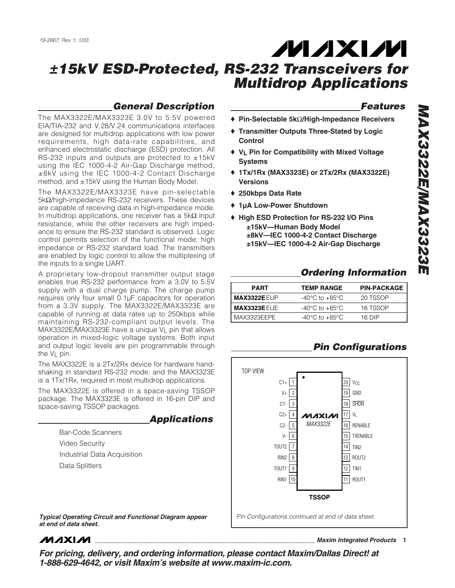### *General Description*

The MAX3322E/MAX3323E 3.0V to 5.5V powered EIA/TIA-232 and V.28/V.24 communications interfaces are designed for multidrop applications with low power requirements, high data-rate capabilities, and enhanced electrostatic discharge (ESD) protection. All RS-232 inputs and outputs are protected to  $\pm 15kV$ using the IEC 1000-4-2 Air-Gap Discharge method, ±8kV using the IEC 1000-4-2 Contact Discharge method, and ±15kV using the Human Body Model.

The MAX3322E/MAX3323E have pin-selectable 5kΩ/high-impedance RS-232 receivers. These devices are capable of receiving data in high-impedance mode. In multidrop applications, one receiver has a 5k $\Omega$  input resistance, while the other receivers are high impedance to ensure the RS-232 standard is observed. Logic control permits selection of the functional mode: high impedance or RS-232 standard load. The transmitters are enabled by logic control to allow the multiplexing of the inputs to a single UART.

A proprietary low-dropout transmitter output stage enables true RS-232 performance from a 3.0V to 5.5V supply with a dual charge pump. The charge pump requires only four small 0.1µF capacitors for operation from a 3.3V supply. The MAX3322E/MAX3323E are capable of running at data rates up to 250kbps while maintaining RS-232-compliant output levels. The MAX3322E/MAX3323E have a unique VL pin that allows operation in mixed-logic voltage systems. Both input and output logic levels are pin programmable through the  $V_L$  pin.

The MAX3322E is a 2Tx/2Rx device for hardware handshaking in standard RS-232 mode, and the MAX3323E is a 1Tx/1Rx, required in most multidrop applications.

The MAX3322E is offered in a space-saving TSSOP package. The MAX3323E is offered in 16-pin DIP and space-saving TSSOP packages.

*Applications*

Bar-Code Scanners Video Security Industrial Data Acquisition Data Splitters

*Typical Operating Circuit and Functional Diagram appear Pin Configurations continued at end of data sheet. at end of data sheet.*

## **MAXIM**

*For pricing, delivery, and ordering information, please contact Maxim/Dallas Direct! at 1-888-629-4642, or visit Maxim's website at www.maxim-ic.com.*

### *Features*

- ♦ **Pin-Selectable 5k**Ω**/High-Impedance Receivers**
- ♦ **Transmitter Outputs Three-Stated by Logic Control**
- ♦ **VL Pin for Compatibility with Mixed Voltage Systems**
- ♦ **1Tx/1Rx (MAX3323E) or 2Tx/2Rx (MAX3322E) Versions**
- ♦ **250kbps Data Rate**
- ♦ **1µA Low-Power Shutdown**
- ♦ **High ESD Protection for RS-232 I/O Pins ±15kV—Human Body Model ±8kV—IEC 1000-4-2 Contact Discharge ±15kV—IEC 1000-4-2 Air-Gap Discharge**

## *Ordering Information*

| <b>PART</b>         | <b>TEMP RANGE</b>                  | <b>PIN-PACKAGE</b> |
|---------------------|------------------------------------|--------------------|
| <b>MAX3322E EUP</b> | -40°C to +85°C                     | 20 TSSOP           |
| <b>MAX3323E EUE</b> | -40°C to +85°C                     | 16 TSSOP           |
| MAX3323FFPF         | $-40^{\circ}$ C to $+85^{\circ}$ C | 16 DIP             |

## *Pin Configurations*



**\_\_\_\_\_\_\_\_\_\_\_\_\_\_\_\_\_\_\_\_\_\_\_\_\_\_\_\_\_\_\_\_\_\_\_\_\_\_\_\_\_\_\_\_\_\_\_\_\_\_\_\_\_\_\_\_\_\_\_\_\_\_\_\_** *Maxim Integrated Products* **1**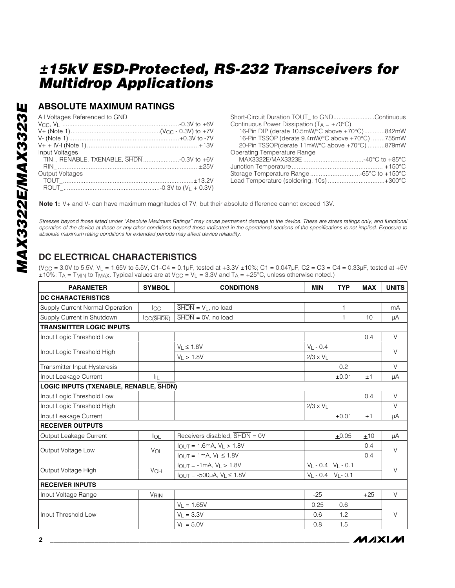### **ABSOLUTE MAXIMUM RATINGS**

| All Voltages Referenced to GND | Short-Circuit Duration TOUT to GNDContinuous        |
|--------------------------------|-----------------------------------------------------|
|                                | Continuous Power Dissipation $(T_A = +70^{\circ}C)$ |
|                                | 16-Pin DIP (derate 10.5mW/°C above +70°C)842mW      |
|                                | 16-Pin TSSOP (derate 9.4mW/°C above +70°C) 755mW    |
|                                | 20-Pin TSSOP(derate 11mW/°C above +70°C) 879mW      |
| Input Voltages                 | Operating Temperature Range                         |
|                                |                                                     |
|                                |                                                     |
| Output Voltages                |                                                     |
|                                | Lead Temperature (soldering, 10s)+300°C             |
|                                |                                                     |

**Note 1:** V+ and V- can have maximum magnitudes of 7V, but their absolute difference cannot exceed 13V.

*Stresses beyond those listed under "Absolute Maximum Ratings" may cause permanent damage to the device. These are stress ratings only, and functional operation of the device at these or any other conditions beyond those indicated in the operational sections of the specifications is not implied. Exposure to absolute maximum rating conditions for extended periods may affect device reliability.*

## **DC ELECTRICAL CHARACTERISTICS**

 $(V_{CC} = 3.0V$  to 5.5V,  $V_L = 1.65V$  to 5.5V, C1-C4 = 0.1µF, tested at +3.3V  $\pm 10\%$ ; C1 = 0.047µF, C2 = C3 = C4 = 0.33µF, tested at +5V  $\pm 10\%$ ; T<sub>A</sub> = T<sub>MIN</sub> to T<sub>MAX</sub>. Typical values are at V<sub>CC</sub> = V<sub>L</sub> = 3.3V and T<sub>A</sub> = +25°C, unless otherwise noted.)

| <b>PARAMETER</b>                       | <b>SYMBOL</b>                            | <b>CONDITIONS</b>                                 | <b>MIN</b>              | <b>TYP</b>   | <b>MAX</b> | <b>UNITS</b> |
|----------------------------------------|------------------------------------------|---------------------------------------------------|-------------------------|--------------|------------|--------------|
| <b>DC CHARACTERISTICS</b>              |                                          |                                                   |                         |              |            |              |
| Supply Current Normal Operation        | Icc                                      | $\overline{\text{SHDN}} = V_L$ , no load          |                         | 1            |            | mA           |
| Supply Current in Shutdown             | $\mathsf{ICC}(\overline{\mathsf{SHDN}})$ | $\overline{\text{SHDN}} = \text{OV}$ , no load    |                         | $\mathbf{1}$ | 10         | μA           |
| <b>TRANSMITTER LOGIC INPUTS</b>        |                                          |                                                   |                         |              |            |              |
| Input Logic Threshold Low              |                                          |                                                   |                         |              | 0.4        | V            |
|                                        |                                          | $V_L \leq 1.8V$                                   | $V_L - 0.4$             |              |            | $\vee$       |
| Input Logic Threshold High             |                                          | $V_L > 1.8V$                                      | $2/3 \times V_L$        |              |            |              |
| Transmitter Input Hysteresis           |                                          |                                                   |                         | 0.2          |            | $\vee$       |
| Input Leakage Current                  | 址                                        |                                                   |                         | ±0.01        | ±1         | μA           |
| LOGIC INPUTS (TXENABLE, RENABLE, SHDN) |                                          |                                                   |                         |              |            |              |
| Input Logic Threshold Low              |                                          |                                                   |                         |              | 0.4        | V            |
| Input Logic Threshold High             |                                          |                                                   | $2/3 \times V_L$        |              |            | $\vee$       |
| Input Leakage Current                  |                                          |                                                   |                         | ±0.01        | ±1         | μA           |
| <b>RECEIVER OUTPUTS</b>                |                                          |                                                   |                         |              |            |              |
| Output Leakage Current                 | $I_{OL}$                                 | Receivers disabled, $\overline{\text{SHDN}} = 0V$ |                         | ±0.05        | ±10        | μA           |
| Output Voltage Low                     | VOL                                      | $I_{OUT} = 1.6mA, V_L > 1.8V$                     |                         |              | 0.4        | V            |
|                                        |                                          | $I_{OUT} = 1mA, V_L \le 1.8V$                     |                         |              | 0.4        |              |
| Output Voltage High                    | VOH                                      | $I_{OUT} = -1mA, V_L > 1.8V$                      | $V_L - 0.4 V_L - 0.1$   |              |            | $\vee$       |
|                                        |                                          | $I_{OUT} = -500 \mu A, V_L \le 1.8 V$             | $V_L - 0.4$ $V_L - 0.1$ |              |            |              |
| <b>RECEIVER INPUTS</b>                 |                                          |                                                   |                         |              |            |              |
| Input Voltage Range                    | <b>VRIN</b>                              |                                                   | $-25$                   |              | $+25$      | V            |
|                                        |                                          | $V_L = 1.65V$                                     | 0.25                    | 0.6          |            |              |
| Input Threshold Low                    |                                          | $V_L = 3.3V$                                      | 0.6                     | 1.2          |            | $\vee$       |
|                                        |                                          | $V_L = 5.0V$                                      | 0.8                     | 1.5          |            |              |

*/VI/IXI/VI*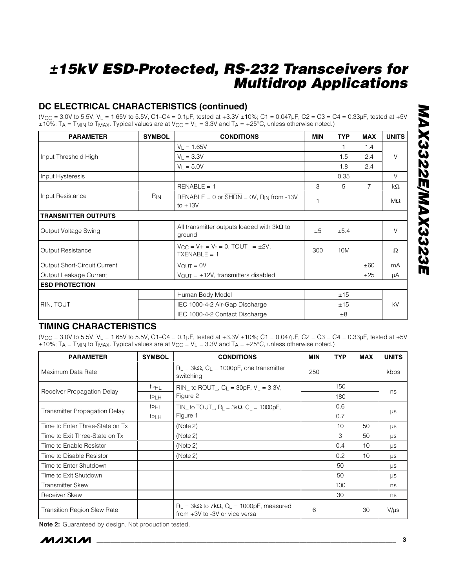## **DC ELECTRICAL CHARACTERISTICS (continued)**

 $(V_{CC} = 3.0V$  to 5.5V,  $V_L = 1.65V$  to 5.5V, C1–C4 = 0.1µF, tested at +3.3V  $\pm 10\%$ ; C1 = 0.047µF, C2 = C3 = C4 = 0.33µF, tested at +5V  $\pm 10\%$ ; T<sub>A</sub> = T<sub>MIN</sub> to T<sub>MAX</sub>. Typical values are at V<sub>CC</sub> = V<sub>L</sub> = 3.3V and T<sub>A</sub> = +25°C, unless otherwise noted.)

| <b>PARAMETER</b>             | <b>SYMBOL</b>   | <b>CONDITIONS</b>                                                             |     | <b>TYP</b> | <b>MAX</b>     | <b>UNITS</b> |
|------------------------------|-----------------|-------------------------------------------------------------------------------|-----|------------|----------------|--------------|
|                              |                 | $V_L = 1.65V$                                                                 |     |            | 1.4            |              |
| Input Threshold High         |                 | $V_1 = 3.3V$                                                                  |     | 1.5        | 2.4            | $\vee$       |
|                              |                 | $V_1 = 5.0V$                                                                  |     | 1.8        | 2.4            |              |
| Input Hysteresis             |                 |                                                                               |     | 0.35       |                | V            |
|                              |                 | $RENABLE = 1$                                                                 | 3   | 5          | $\overline{7}$ | $k\Omega$    |
| Input Resistance             | R <sub>IN</sub> | RENABLE = 0 or $\overline{SHDN}$ = 0V, R <sub>IN</sub> from -13V<br>to $+13V$ |     |            |                | MΩ           |
| <b>TRANSMITTER OUTPUTS</b>   |                 |                                                                               |     |            |                |              |
| Output Voltage Swing         |                 | All transmitter outputs loaded with $3k\Omega$ to<br>ground                   | ±5  | ±5.4       |                | $\vee$       |
| Output Resistance            |                 | $V_{CC} = V_+ = V_- = 0$ , TOUT = ±2V,<br>$TXENABLE = 1$                      | 300 | 10M        |                | $\Omega$     |
| Output Short-Circuit Current |                 | $V_{\text{OUT}} = 0V$                                                         |     |            | ±60            | mA           |
| Output Leakage Current       |                 | $V_{\text{OUT}} = \pm 12V$ , transmitters disabled                            |     |            | ±25            | μA           |
| <b>ESD PROTECTION</b>        |                 |                                                                               |     |            |                |              |
|                              |                 | Human Body Model                                                              |     | ±15        |                |              |
| <b>RIN, TOUT</b>             |                 | IEC 1000-4-2 Air-Gap Discharge                                                |     | ±15        |                | kV           |
|                              |                 | IEC 1000-4-2 Contact Discharge                                                |     | ±8         |                |              |

### **TIMING CHARACTERISTICS**

 $(V_{CC} = 3.0V$  to 5.5V,  $V_1 = 1.65V$  to 5.5V, C1–C4 = 0.1µF, tested at +3.3V  $\pm 10\%$ ; C1 = 0.047µF, C2 = C3 = C4 = 0.33µF, tested at +5V  $\pm 10\%$ ; T<sub>A</sub> = T<sub>MIN</sub> to T<sub>MAX</sub>. Typical values are at V<sub>CC</sub> = V<sub>L</sub> = 3.3V and T<sub>A</sub> = +25°C, unless otherwise noted.)

| <b>PARAMETER</b>                     | <b>SYMBOL</b>    | <b>CONDITIONS</b>                                                                                             | <b>MIN</b> | <b>TYP</b> | <b>MAX</b> | <b>UNITS</b> |  |
|--------------------------------------|------------------|---------------------------------------------------------------------------------------------------------------|------------|------------|------------|--------------|--|
| Maximum Data Rate                    |                  | $R_{\perp}$ = 3k $\Omega$ , C <sub>L</sub> = 1000pF, one transmitter<br>switching                             | 250        |            |            | kbps         |  |
| Receiver Propagation Delay           | <b>t</b> PHL     | RIN_ to ROUT_, $C_1 = 30pF$ , $V_1 = 3.3V$ ,                                                                  |            | 150        |            | ns           |  |
|                                      | t <sub>PLH</sub> | Figure 2                                                                                                      |            | 180        |            |              |  |
|                                      | <b>t</b> PHL     | TIN_ to TOUT_, $R_L = 3k\Omega$ , $C_L = 1000pF$ ,                                                            |            | 0.6        |            |              |  |
| <b>Transmitter Propagation Delay</b> | t <sub>PLH</sub> | Figure 1                                                                                                      |            | 0.7        |            | μs           |  |
| Time to Enter Three-State on Tx      |                  | (Note 2)                                                                                                      |            | 10         | 50         | $\mu s$      |  |
| Time to Exit Three-State on Tx       |                  | (Note 2)                                                                                                      |            | 3          | 50         | μs           |  |
| Time to Enable Resistor              |                  | (Note 2)                                                                                                      |            | 0.4        | 10         | μs           |  |
| Time to Disable Resistor             |                  | (Note 2)                                                                                                      |            | 0.2        | 10         | μs           |  |
| Time to Enter Shutdown               |                  |                                                                                                               |            | 50         |            | μs           |  |
| Time to Exit Shutdown                |                  |                                                                                                               |            | 50         |            | μs           |  |
| <b>Transmitter Skew</b>              |                  |                                                                                                               |            | 100        |            | ns           |  |
| <b>Receiver Skew</b>                 |                  |                                                                                                               |            | 30         |            | ns           |  |
| Transition Region Slew Rate          |                  | $R_{\perp}$ = 3k $\Omega$ to 7k $\Omega$ , C <sub>L</sub> = 1000pF, measured<br>from +3V to -3V or vice versa | 6          |            | 30         | $V/\mu s$    |  |

**Note 2:** Guaranteed by design. Not production tested.

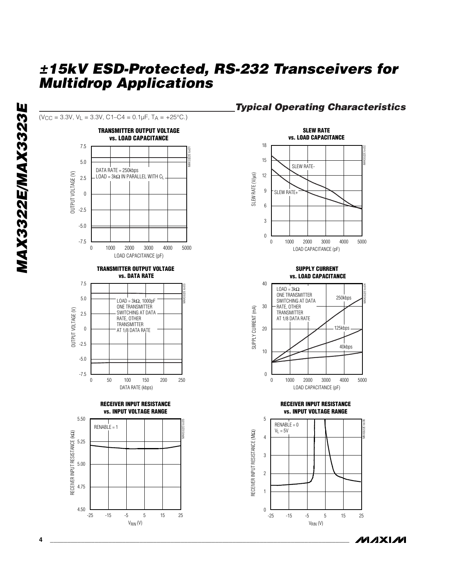

### *Typical Operating Characteristics*

**MAX3322E/MAX3323E** *MAX3322E/MAX3323E*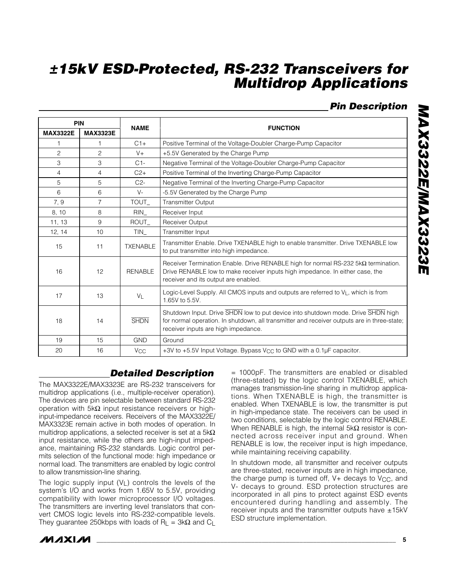## *Pin Description*

*MAX3322E/MAX3323E*

MAX3322/MAX33231

| PIN             |                 |                       |                                                                                                                                                                                                                        |  |  |
|-----------------|-----------------|-----------------------|------------------------------------------------------------------------------------------------------------------------------------------------------------------------------------------------------------------------|--|--|
| <b>MAX3322E</b> | <b>MAX3323E</b> | <b>NAME</b>           | <b>FUNCTION</b>                                                                                                                                                                                                        |  |  |
| 1               | 1               | $C1+$                 | Positive Terminal of the Voltage-Doubler Charge-Pump Capacitor                                                                                                                                                         |  |  |
| $\overline{c}$  | $\overline{c}$  | $V +$                 | +5.5V Generated by the Charge Pump                                                                                                                                                                                     |  |  |
| 3               | 3               | $C1-$                 | Negative Terminal of the Voltage-Doubler Charge-Pump Capacitor                                                                                                                                                         |  |  |
| 4               | 4               | $C2+$                 | Positive Terminal of the Inverting Charge-Pump Capacitor                                                                                                                                                               |  |  |
| 5               | 5               | $C2-$                 | Negative Terminal of the Inverting Charge-Pump Capacitor                                                                                                                                                               |  |  |
| 6               | 6               | $V -$                 | -5.5V Generated by the Charge Pump                                                                                                                                                                                     |  |  |
| 7, 9            | $\overline{7}$  | TOUT_                 | <b>Transmitter Output</b>                                                                                                                                                                                              |  |  |
| 8, 10           | 8               | <b>RIN</b>            | Receiver Input                                                                                                                                                                                                         |  |  |
| 11, 13          | 9               | ROUT_                 | <b>Receiver Output</b>                                                                                                                                                                                                 |  |  |
| 12, 14          | 10              | TIN                   | Transmitter Input                                                                                                                                                                                                      |  |  |
| 15              | 11              | <b>TXENABLE</b>       | Transmitter Enable. Drive TXENABLE high to enable transmitter. Drive TXENABLE low<br>to put transmitter into high impedance.                                                                                           |  |  |
| 16              | 12              | <b>RENABLE</b>        | Receiver Termination Enable. Drive RENABLE high for normal RS-232 5kQ termination.<br>Drive RENABLE low to make receiver inputs high impedance. In either case, the<br>receiver and its output are enabled.            |  |  |
| 17              | 13              | $V_{L}$               | Logic-Level Supply. All CMOS inputs and outputs are referred to VL, which is from<br>1.65V to 5.5V.                                                                                                                    |  |  |
| 18              | 14              | <b>SHDN</b>           | Shutdown Input. Drive SHDN low to put device into shutdown mode. Drive SHDN high<br>for normal operation. In shutdown, all transmitter and receiver outputs are in three-state;<br>receiver inputs are high impedance. |  |  |
| 19              | 15              | <b>GND</b>            | Ground                                                                                                                                                                                                                 |  |  |
| 20              | 16              | <b>V<sub>CC</sub></b> | +3V to +5.5V Input Voltage. Bypass V <sub>CC</sub> to GND with a 0.1µF capacitor.                                                                                                                                      |  |  |

## *Detailed Description*

The MAX3322E/MAX3323E are RS-232 transceivers for multidrop applications (i.e., multiple-receiver operation). The devices are pin selectable between standard RS-232 operation with 5kΩ input resistance receivers or highinput-impedance receivers. Receivers of the MAX3322E/ MAX3323E remain active in both modes of operation. In multidrop applications, a selected receiver is set at a  $5k\Omega$ input resistance, while the others are high-input impedance, maintaining RS-232 standards. Logic control permits selection of the functional mode: high impedance or normal load. The transmitters are enabled by logic control to allow transmission-line sharing.

The logic supply input  $(V_L)$  controls the levels of the system's I/O and works from 1.65V to 5.5V, providing compatibility with lower microprocessor I/O voltages. The transmitters are inverting level translators that convert CMOS logic levels into RS-232-compatible levels. They guarantee 250kbps with loads of R<sub>L</sub> = 3k $\Omega$  and C<sub>L</sub>

= 1000pF. The transmitters are enabled or disabled (three-stated) by the logic control TXENABLE, which manages transmission-line sharing in multidrop applications. When TXENABLE is high, the transmitter is enabled. When TXENABLE is low, the transmitter is put in high-impedance state. The receivers can be used in two conditions, selectable by the logic control RENABLE. When RENABLE is high, the internal  $5k\Omega$  resistor is connected across receiver input and ground. When RENABLE is low, the receiver input is high impedance, while maintaining receiving capability.

In shutdown mode, all transmitter and receiver outputs are three-stated, receiver inputs are in high impedance, the charge pump is turned off,  $V+$  decays to  $V<sub>CC</sub>$ , and V- decays to ground. ESD protection structures are incorporated in all pins to protect against ESD events encountered during handling and assembly. The receiver inputs and the transmitter outputs have  $\pm 15kV$ ESD structure implementation.



**\_\_\_\_\_\_\_\_\_\_\_\_\_\_\_\_\_\_\_\_\_\_\_\_\_\_\_\_\_\_\_\_\_\_\_\_\_\_\_\_\_\_\_\_\_\_\_\_\_\_\_\_\_\_\_\_\_\_\_\_\_\_\_\_\_\_\_\_\_\_\_\_\_\_\_\_\_\_\_\_\_\_\_\_\_\_\_ 5**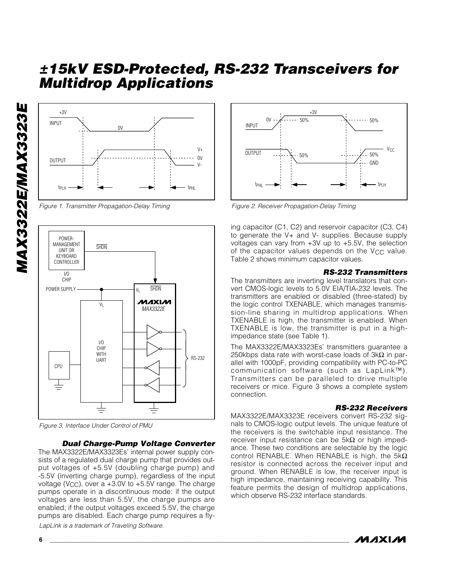

*Figure 1. Transmitter Propagation-Delay Timing*



*Figure 3. Interface Under Control of PMU*

#### *Dual Charge-Pump Voltage Converter*

The MAX3322E/MAX3323Es' internal power supply consists of a regulated dual charge pump that provides output voltages of +5.5V (doubling charge pump) and -5.5V (inverting charge pump), regardless of the input voltage (V<sub>CC</sub>), over a  $+3.0V$  to  $+5.5V$  range. The charge pumps operate in a discontinuous mode: if the output voltages are less than 5.5V, the charge pumps are enabled; if the output voltages exceed 5.5V, the charge pumps are disabled. Each charge pump requires a fly-

*LapLink is a trademark of Traveling Software.*



*Figure 2. Receiver Propagation-Delay Timing*

ing capacitor (C1, C2) and reservoir capacitor (C3, C4) to generate the V+ and V- supplies. Because supply voltages can vary from +3V up to +5.5V, the selection of the capacitor values depends on the V<sub>CC</sub> value. Table 2 shows minimum capacitor values.

#### *RS-232 Transmitters*

The transmitters are inverting level translators that convert CMOS-logic levels to 5.0V EIA/TIA-232 levels. The transmitters are enabled or disabled (three-stated) by the logic control TXENABLE, which manages transmission-line sharing in multidrop applications. When TXENABLE is high, the transmitter is enabled. When TXENABLE is low, the transmitter is put in a highimpedance state (see Table 1).

The MAX3322E/MAX3323Es' transmitters guarantee a 250kbps data rate with worst-case loads of  $3k\Omega$  in parallel with 1000pF, providing compatibility with PC-to-PC communication software (such as LapLink™). Transmitters can be paralleled to drive multiple receivers or mice. Figure 3 shows a complete system connection.

#### *RS-232 Receivers*

MAX3322E/MAX3323E receivers convert RS-232 signals to CMOS-logic output levels. The unique feature of the receivers is the switchable input resistance. The receiver input resistance can be  $5kΩ$  or high impedance. These two conditions are selectable by the logic control RENABLE. When RENABLE is high, the 5kΩ resistor is connected across the receiver input and ground. When RENABLE is low, the receiver input is high impedance, maintaining receiving capability. This feature permits the design of multidrop applications, which observe RS-232 interface standards.

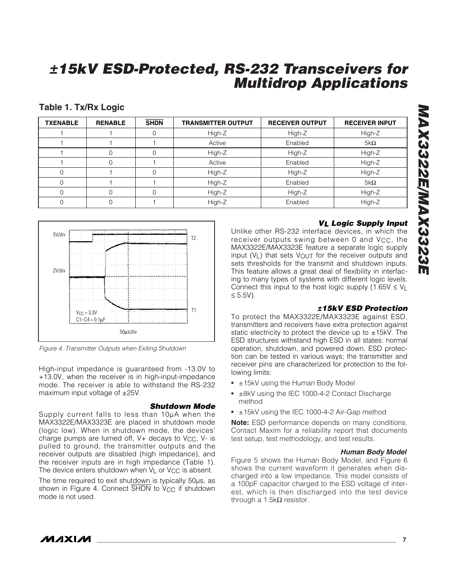### **Table 1. Tx/Rx Logic**

| <b>TXENABLE</b> | <b>RENABLE</b> | <b>SHDN</b> | <b>TRANSMITTER OUTPUT</b> | <b>RECEIVER OUTPUT</b> | <b>RECEIVER INPUT</b> |
|-----------------|----------------|-------------|---------------------------|------------------------|-----------------------|
|                 |                |             | High-Z                    | High-Z                 | High-Z                |
|                 |                |             | Active                    | Enabled                | $5k\Omega$            |
|                 |                |             | High-Z                    | High-Z                 | High-Z                |
|                 |                |             | Active                    | Enabled                | High-Z                |
| $\Omega$        |                |             | High-Z                    | High-Z                 | High-Z                |
| $\Omega$        |                |             | High-Z                    | Enabled                | $5k\Omega$            |
| $\Omega$        |                |             | High-Z                    | High-Z                 | High-Z                |
| $\Omega$        |                |             | High-Z                    | Enabled                | High-Z                |



*Figure 4. Transmitter Outputs when Exiting Shutdown*

High-input impedance is guaranteed from -13.0V to +13.0V, when the receiver is in high-input-impedance mode. The receiver is able to withstand the RS-232 maximum input voltage of  $\pm 25V$ .

#### *Shutdown Mode*

Supply current falls to less than 10µA when the MAX3322E/MAX3323E are placed in shutdown mode (logic low). When in shutdown mode, the devices' charge pumps are turned off,  $V+$  decays to  $V<sub>CC</sub>$ ,  $V-$  is pulled to ground, the transmitter outputs and the receiver outputs are disabled (high impedance), and the receiver inputs are in high impedance (Table 1). The device enters shutdown when  $V_L$  or  $V_{CC}$  is absent.

The time required to exit shutdown is typically 50µs, as shown in Figure 4. Connect SHDN to V<sub>CC</sub> if shutdown mode is not used.

### *VL Logic Supply Input*

Unlike other RS-232 interface devices, in which the receiver outputs swing between 0 and V<sub>CC</sub>, the MAX3322E/MAX3323E feature a separate logic supply input  $(V_L)$  that sets  $V_{\text{OUT}}$  for the receiver outputs and sets thresholds for the transmit and shutdown inputs. This feature allows a great deal of flexibility in interfacing to many types of systems with different logic levels. Connect this input to the host logic supply  $(1.65V \le V_1$ ≤ 5.5V).

### *±15kV ESD Protection*

To protect the MAX3322E/MAX3323E against ESD, transmitters and receivers have extra protection against static electricity to protect the device up to  $\pm$ 15kV. The ESD structures withstand high ESD in all states: normal operation, shutdown, and powered down. ESD protection can be tested in various ways; the transmitter and receiver pins are characterized for protection to the following limits:

- ±15kV using the Human Body Model
- ±8kV using the IEC 1000-4-2 Contact Discharge method
- ±15kV using the IEC 1000-4-2 Air-Gap method

**Note:** ESD performance depends on many conditions. Contact Maxim for a reliability report that documents test setup, test methodology, and test results.

#### *Human Body Model*

Figure 5 shows the Human Body Model, and Figure 6 shows the current waveform it generates when discharged into a low impedance. This model consists of a 100pF capacitor charged to the ESD voltage of interest, which is then discharged into the test device through a 1.5kΩ resistor.

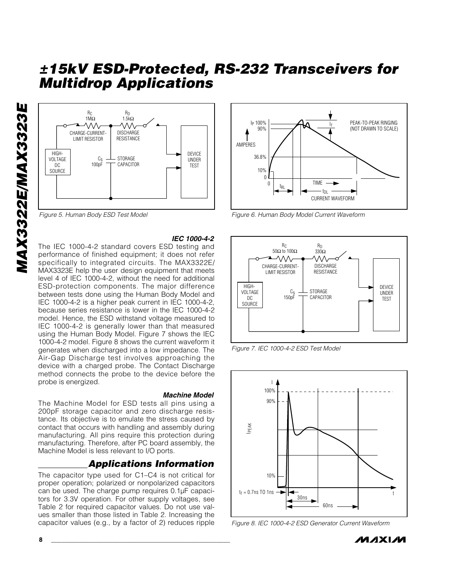

*Figure 5. Human Body ESD Test Model*

*IEC 1000-4-2*

The IEC 1000-4-2 standard covers ESD testing and performance of finished equipment; it does not refer specifically to integrated circuits. The MAX3322E/ MAX3323E help the user design equipment that meets level 4 of IEC 1000-4-2, without the need for additional ESD-protection components. The major difference between tests done using the Human Body Model and IEC 1000-4-2 is a higher peak current in IEC 1000-4-2, because series resistance is lower in the IEC 1000-4-2 model. Hence, the ESD withstand voltage measured to IEC 1000-4-2 is generally lower than that measured using the Human Body Model. Figure 7 shows the IEC 1000-4-2 model. Figure 8 shows the current waveform it generates when discharged into a low impedance. The Air-Gap Discharge test involves approaching the device with a charged probe. The Contact Discharge method connects the probe to the device before the probe is energized.

#### *Machine Model*

The Machine Model for ESD tests all pins using a 200pF storage capacitor and zero discharge resistance. Its objective is to emulate the stress caused by contact that occurs with handling and assembly during manufacturing. All pins require this protection during manufacturing. Therefore, after PC board assembly, the Machine Model is less relevant to I/O ports.

### *Applications Information*

The capacitor type used for C1–C4 is not critical for proper operation; polarized or nonpolarized capacitors can be used. The charge pump requires 0.1µF capacitors for 3.3V operation. For other supply voltages, see Table 2 for required capacitor values. Do not use values smaller than those listed in Table 2. Increasing the capacitor values (e.g., by a factor of 2) reduces ripple



*Figure 6. Human Body Model Current Waveform* 



*Figure 7. IEC 1000-4-2 ESD Test Model*



*Figure 8. IEC 1000-4-2 ESD Generator Current Waveform*

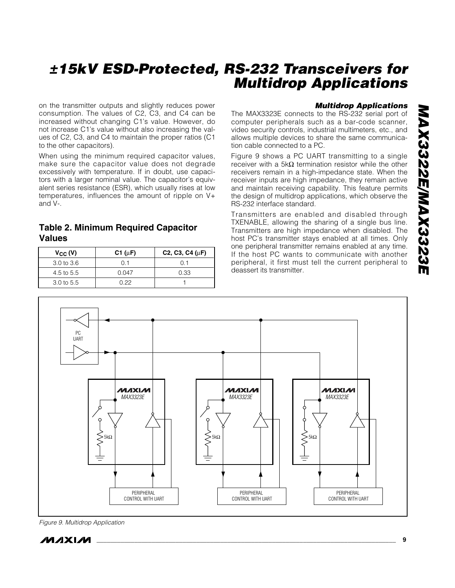on the transmitter outputs and slightly reduces power consumption. The values of C2, C3, and C4 can be increased without changing C1's value. However, do not increase C1's value without also increasing the values of C2, C3, and C4 to maintain the proper ratios (C1 to the other capacitors).

When using the minimum required capacitor values, make sure the capacitor value does not degrade excessively with temperature. If in doubt, use capacitors with a larger nominal value. The capacitor's equivalent series resistance (ESR), which usually rises at low temperatures, influences the amount of ripple on V+ and V-.

### **Table 2. Minimum Required Capacitor Values**

| $V_{CC} (V)$          | C1 ( $\mu$ F) | C <sub>2</sub> , C <sub>3</sub> , C <sub>4</sub> ( $\mu$ F) |
|-----------------------|---------------|-------------------------------------------------------------|
| $3.0 \text{ to } 3.6$ | () 1          | N 1                                                         |
| 4.5 to $5.5$          | 0.047         | 0.33                                                        |
| $3.0 \text{ to } 5.5$ | በ 22          |                                                             |

### *Multidrop Applications*

The MAX3323E connects to the RS-232 serial port of computer peripherals such as a bar-code scanner, video security controls, industrial multimeters, etc., and allows multiple devices to share the same communication cable connected to a PC.

Figure 9 shows a PC UART transmitting to a single receiver with a 5kΩ termination resistor while the other receivers remain in a high-impedance state. When the receiver inputs are high impedance, they remain active and maintain receiving capability. This feature permits the design of multidrop applications, which observe the RS-232 interface standard.

Transmitters are enabled and disabled through TXENABLE, allowing the sharing of a single bus line. Transmitters are high impedance when disabled. The host PC's transmitter stays enabled at all times. Only one peripheral transmitter remains enabled at any time. If the host PC wants to communicate with another peripheral, it first must tell the current peripheral to deassert its transmitter.



*Figure 9. Multidrop Application*

*IVI A* XI*IV*I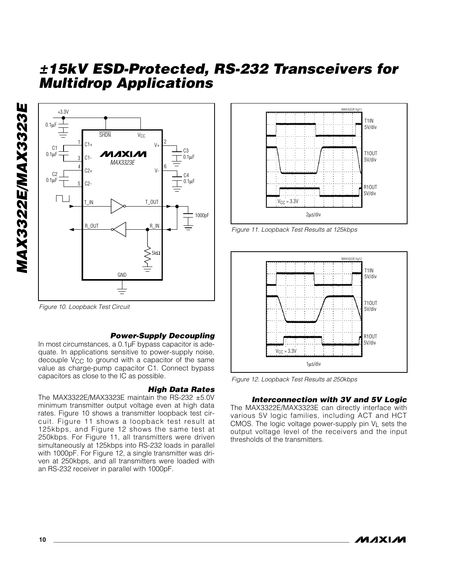



#### *Power-Supply Decoupling*

In most circumstances, a 0.1µF bypass capacitor is adequate. In applications sensitive to power-supply noise, decouple V<sub>CC</sub> to ground with a capacitor of the same value as charge-pump capacitor C1. Connect bypass capacitors as close to the IC as possible.

#### *High Data Rates*

The MAX3322E/MAX3323E maintain the RS-232  $\pm$ 5.0V minimum transmitter output voltage even at high data rates. Figure 10 shows a transmitter loopback test circuit. Figure 11 shows a loopback test result at 125kbps, and Figure 12 shows the same test at 250kbps. For Figure 11, all transmitters were driven simultaneously at 125kbps into RS-232 loads in parallel with 1000pF. For Figure 12, a single transmitter was driven at 250kbps, and all transmitters were loaded with an RS-232 receiver in parallel with 1000pF.



*Figure 11. Loopback Test Results at 125kbps*



*Figure 12. Loopback Test Results at 250kbps*

#### *Interconnection with 3V and 5V Logic*

The MAX3322E/MAX3323E can directly interface with various 5V logic families, including ACT and HCT CMOS. The logic voltage power-supply pin VL sets the output voltage level of the receivers and the input thresholds of the transmitters.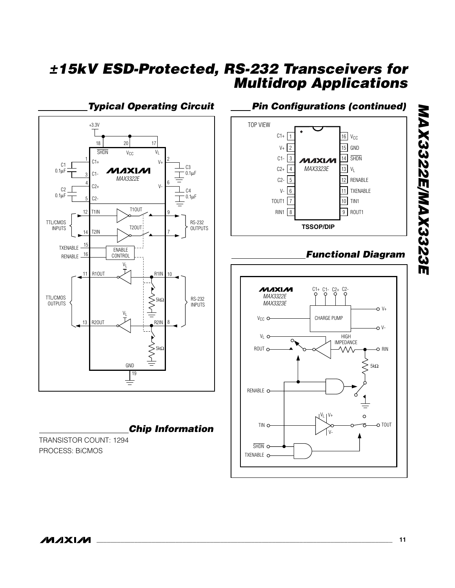*Typical Operating Circuit* +3.3V 18 20 17  $\overline{\text{SHDN}}$   $V_{\text{CC}}$   $V_{\text{L}}$  $C1+$  $V_{+}$  C1 C3 **MAXIM**  $0.1<sub>µ</sub>F$ 0.1µF  $C<sub>1</sub>$ *MAX3322E* 6  $C2+$ V- $C2$  $C<sub>4</sub>$  $0.1 \mu F$  $\mathbb{I}$ 0.1µF  $C2-$ T1OUT 12 T1IN 9 TTL/CMOS RS-232 T2OUT INPUTS  $\begin{bmatrix} 1 & 1 & 1 \\ 1 & 1 & 1 \end{bmatrix}$  T2IN **OUTPUTS** 7 15 TXENABLE ENABLE RENABLE <sup>\_\_\_\_\_\_16</sup> CONTROL VL 11 R1OUT R1IN 10 TTL/CMOS  $\sum_{\Delta}$ 5kΩ RS-232 **OUTPUTS** INPUTS  $V_1$  $\equiv$ 13 R2OUT  $\mathcal{M}$  R2IN 8 ł  $\xi_{5k\Omega}$ GND l 19 ≢

*Chip Information*

TRANSISTOR COUNT: 1294 PROCESS: BiCMOS

## *Pin Configurations (continued)*



## *Functional Diagram*

*MAX3322E/MAX3323E*

MAX3322E/MAX3323E

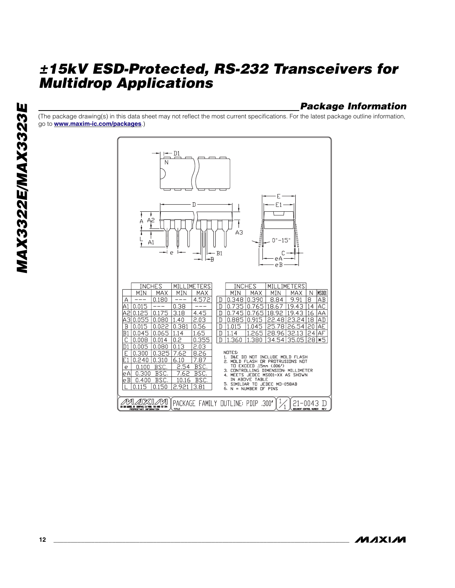### *Package Information*

(The package drawing(s) in this data sheet may not reflect the most current specifications. For the latest package outline information, go to **[www.maxim-ic.com/packages](http://www.maxim-ic.com/packages)**.)



**MAXM**